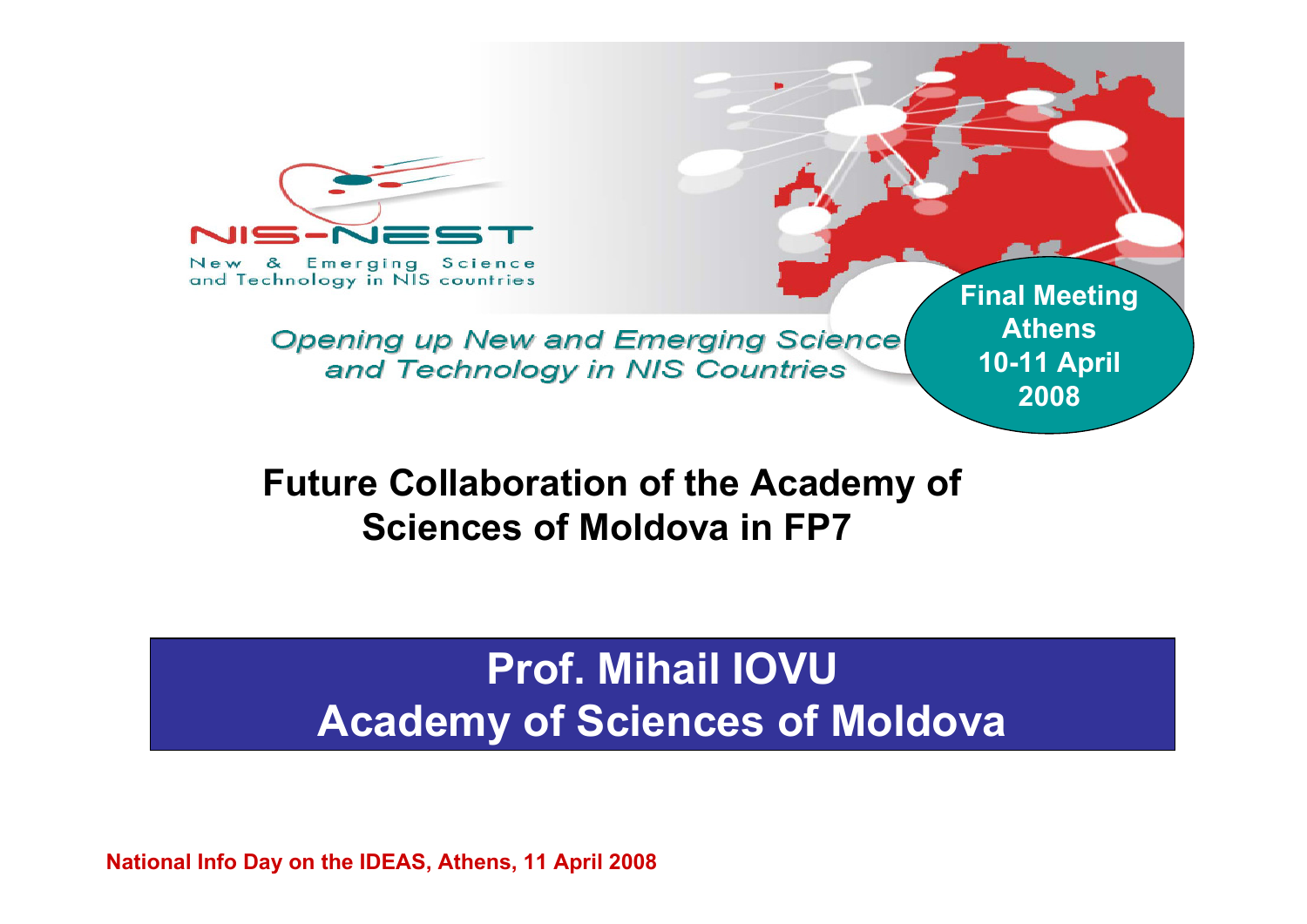

New & Emerging Science and Technology in NIS countries

> **Opening up New and Emerging Science** and Technology in NIS Countries

**Future Collaboration of the Academy of Sciences of Moldova in FP7**

## **Prof. Mihail IOVUAcademy of Sciences of Moldova**

**Final Meeting**

**Athens**

**10-11 April**

**2008**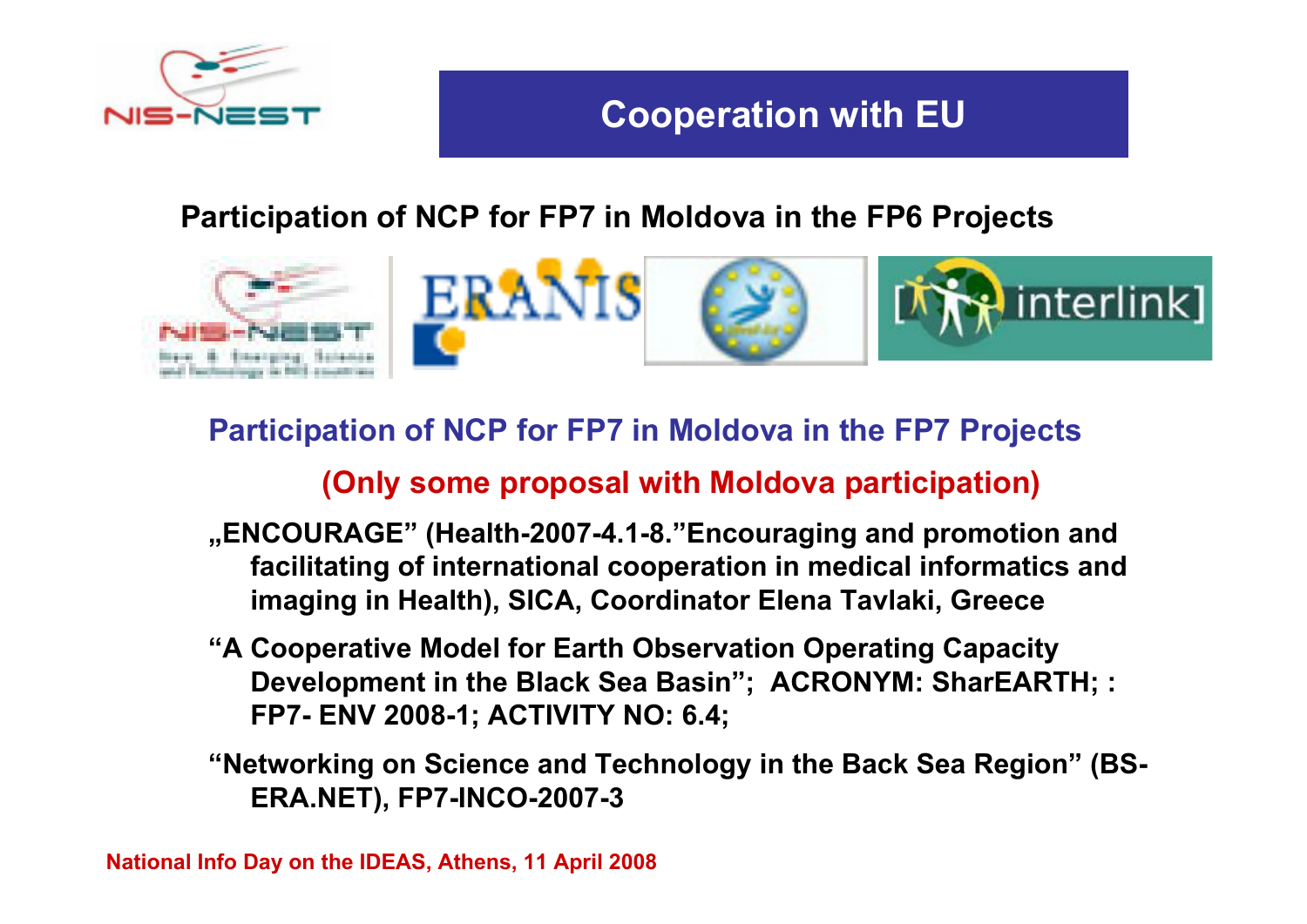

### **Participation of NCP for FP7 in Moldova in the FP6 Projects**



#### **Participation of NCP for FP7 in Moldova in the FP7 Projects**

#### **(Only some proposal with Moldova participation)**

- **"ENCOURAGE" (Health-2007-4.1-8."Encouraging and promotion and facilitating of international cooperation in medical informatics and imaging in Health), SICA, Coordinator Elena Tavlaki, Greece**
- **"A Cooperative Model for Earth Observation Operating Capacity Development in the Black Sea Basin"; ACRONYM: SharEARTH; : FP7- ENV 2008-1; ACTIVITY NO: 6.4;**
- **"Networking on Science and Technology in the Back Sea Region" (BS-ERA.NET), FP7-INCO-2007-3**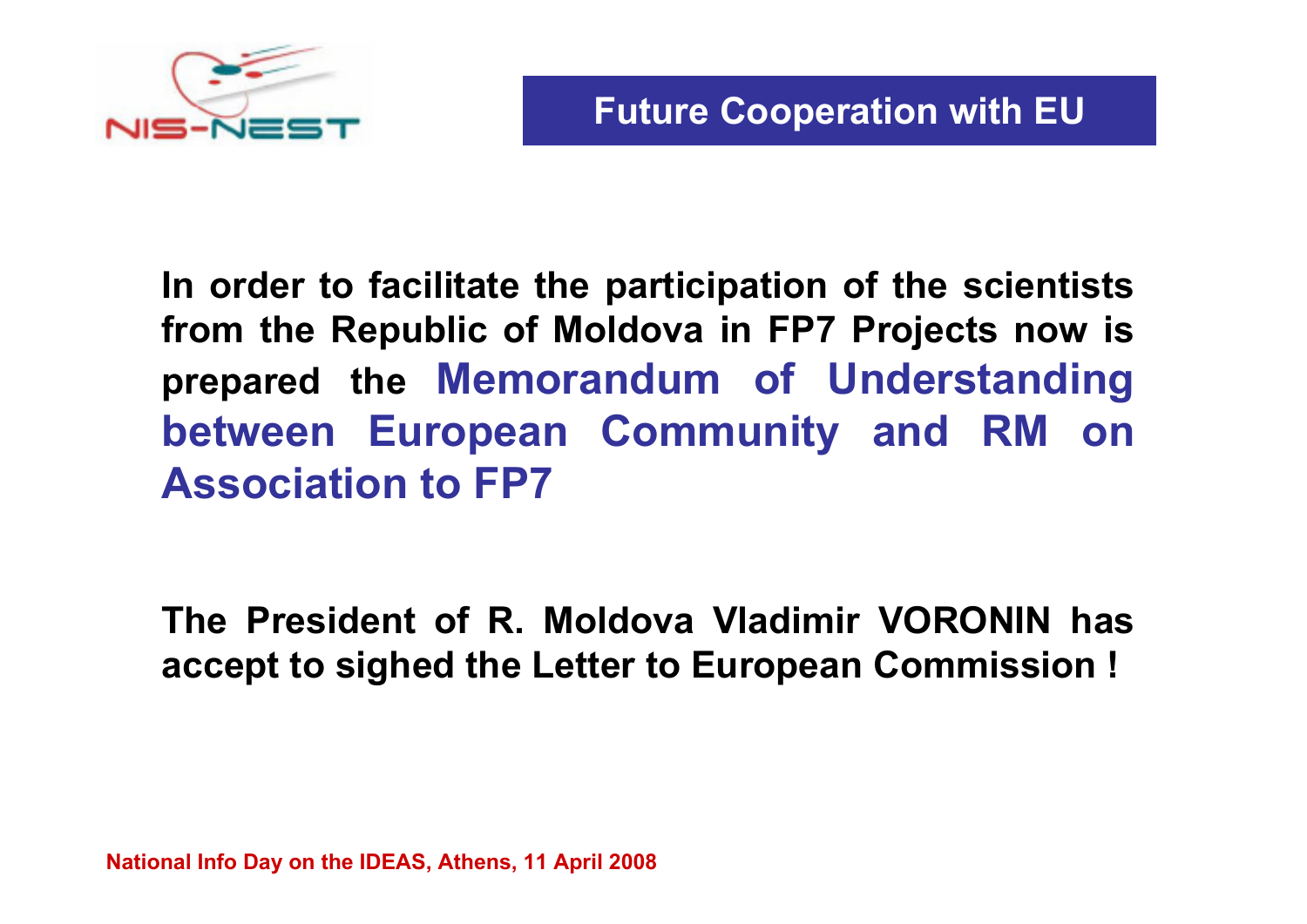

**In order to facilitate the participation of the scientists from the Republic of Moldova in FP7 Projects now is prepared the Memorandum of Understanding between European Community and RM on Association to FP7**

**The President of R. Moldova Vladimir VORONIN has accept to sighed the Letter to European Commission !**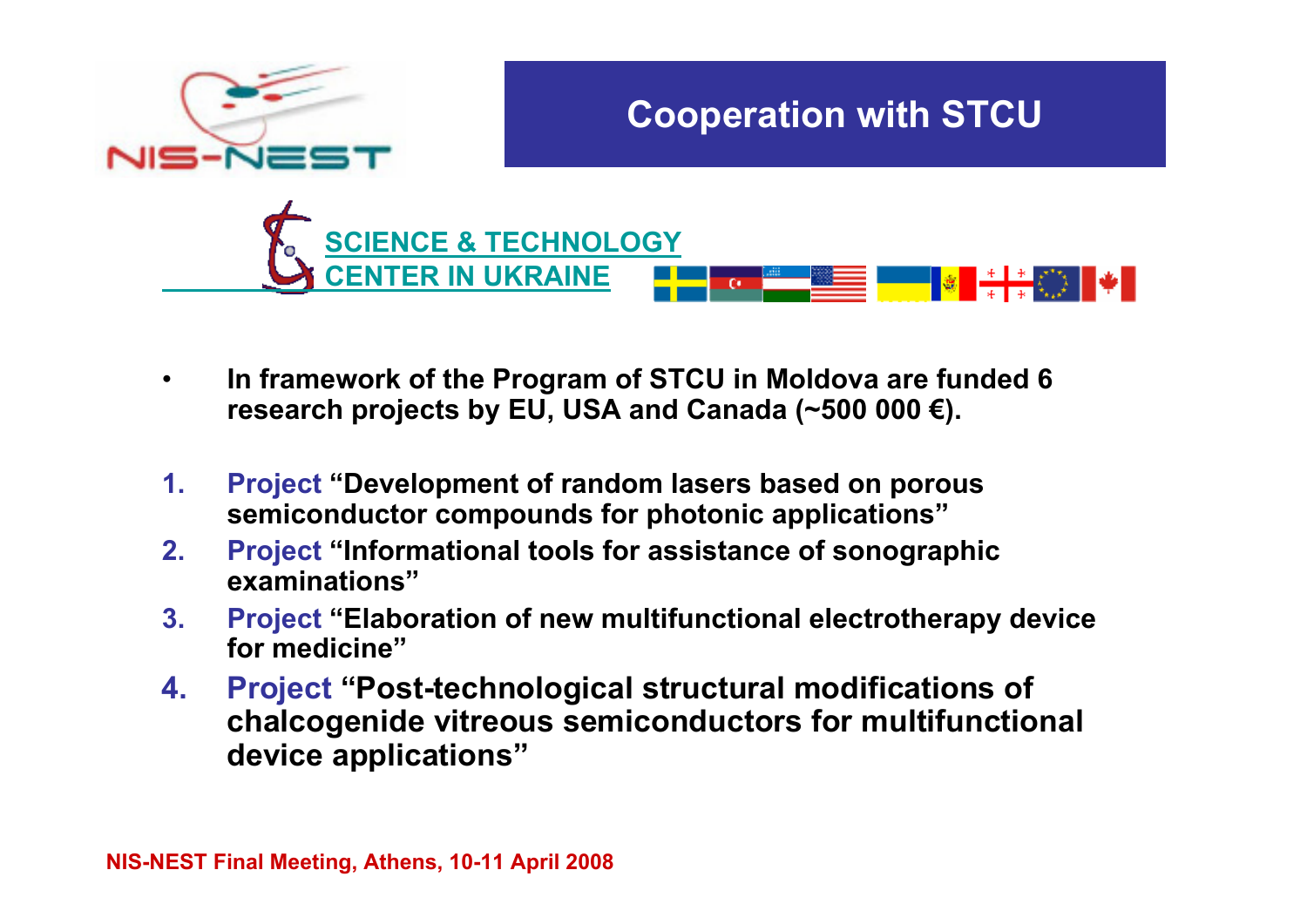

- • **In framework of the Program of STCU in Moldova are funded 6 research projects by EU, USA and Canada (~500 000 €).**
- **1. Project "Development of random lasers based on porous semiconductor compounds for photonic applications"**
- **2. Project "Informational tools for assistance of sonographic examinations"**
- **3. Project "Elaboration of new multifunctional electrotherapy device for medicine"**
- **4. Project "Post-technological structural modifications of chalcogenide vitreous semiconductors for multifunctional device applications"**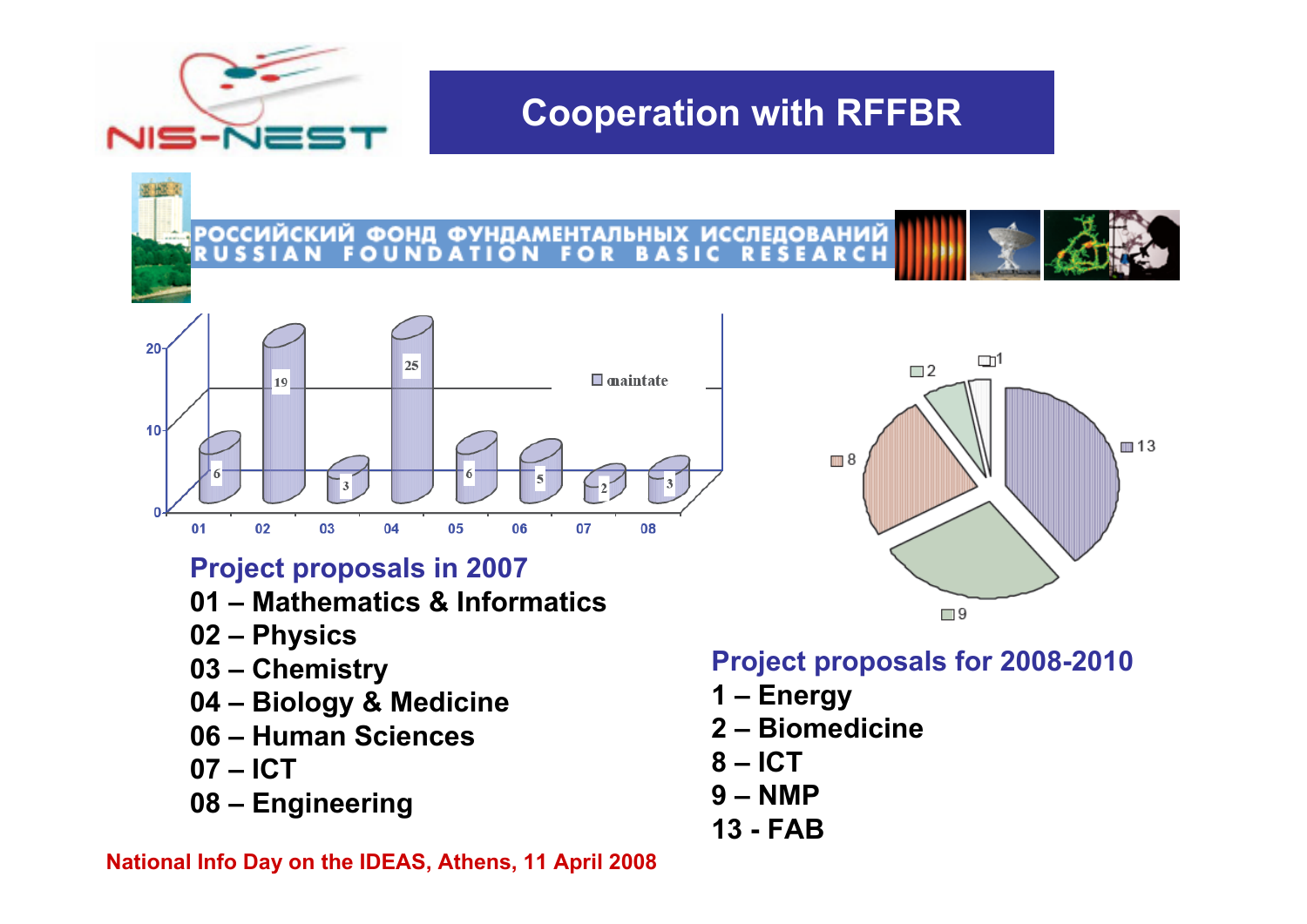

## **Cooperation with RFFBR**

**РОССИЙСКИЙ ФОНД ФУНДАМЕН** ІТАЛЬНЫХ ИССЛЕДОВАНИ



#### **Project proposals in 2007**

- **01 – Mathematics & Informatics**
- **02 – Physics**
- **03 – Chemistry**
- **04 – Biology & Medicine**
- **06 – Human Sciences**
- **07 – ICT**
- **08 – Engineering**

#### **National Info Day on the IDEAS, Athens, 11 April 2008**



#### **Project proposals for 2008-2010**

- **1 – Energy**
- **2 – Biomedicine**
- **8 – ICT**
- **9 – NMP**
- **13 - FAB**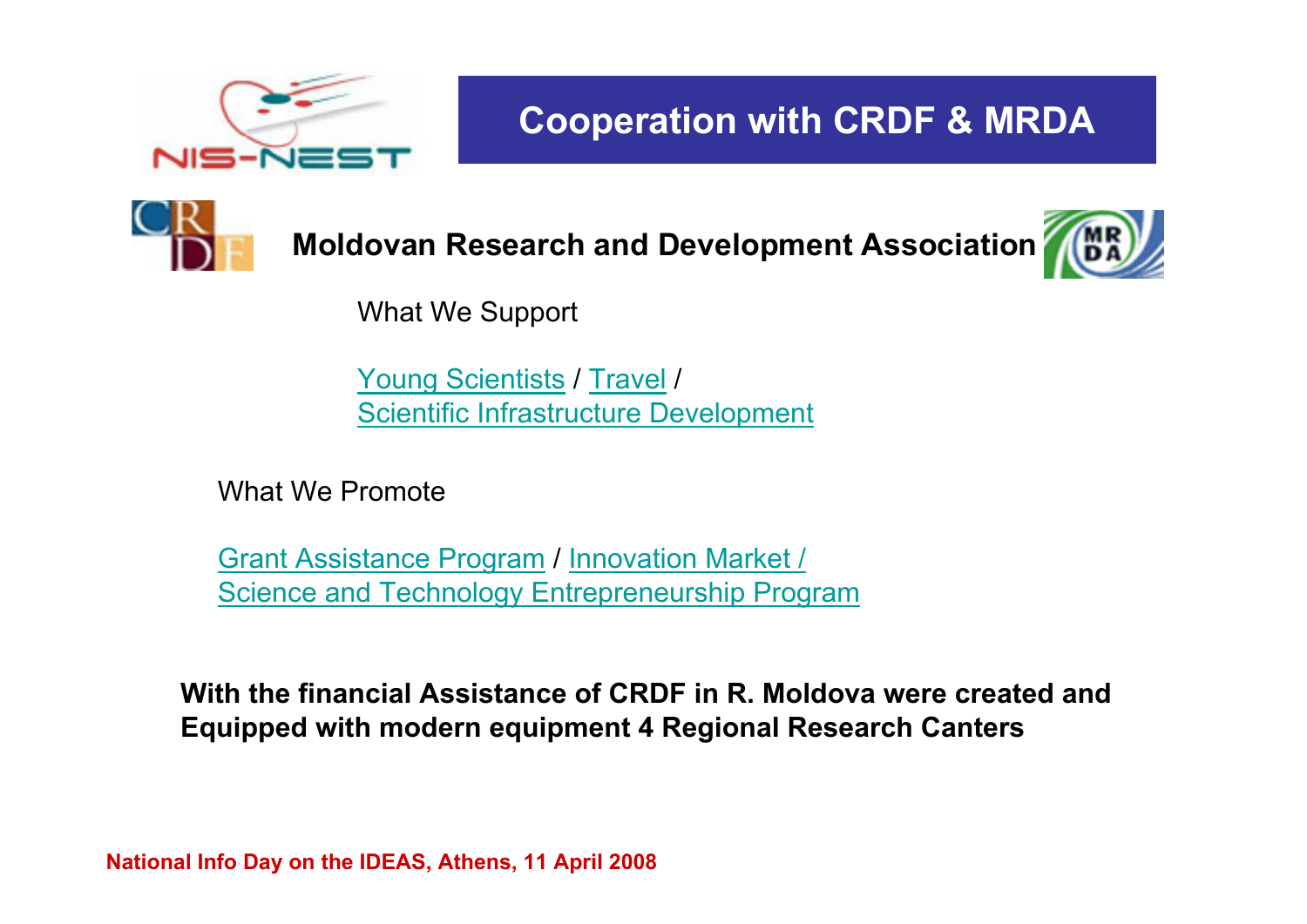

**Cooperation with CRDF & MRDA**



**Moldovan Research and Development Association**



What We Support

Young Scientists / Travel / [Scientific Infrastructure](http://www.mrda.md/mrda.php?m1=young_scientists.inc) [Develop](http://www.mrda.md/mrda.php?m1=travel.inc)[ment](http://www.mrda.md/mrda.php?m1=sid.inc)

What We Promote

Grant Assistance Program / Innovation Market / [Science and Technology Entrepre](http://www.mrda.md/mrda.php?m1=gap.inc)[neurship Program](http://www.step.mrda.md/)

**With the financial Assistance of CRDF in R. Moldova were created and Equipped with modern equipment 4 Regional Research Canters**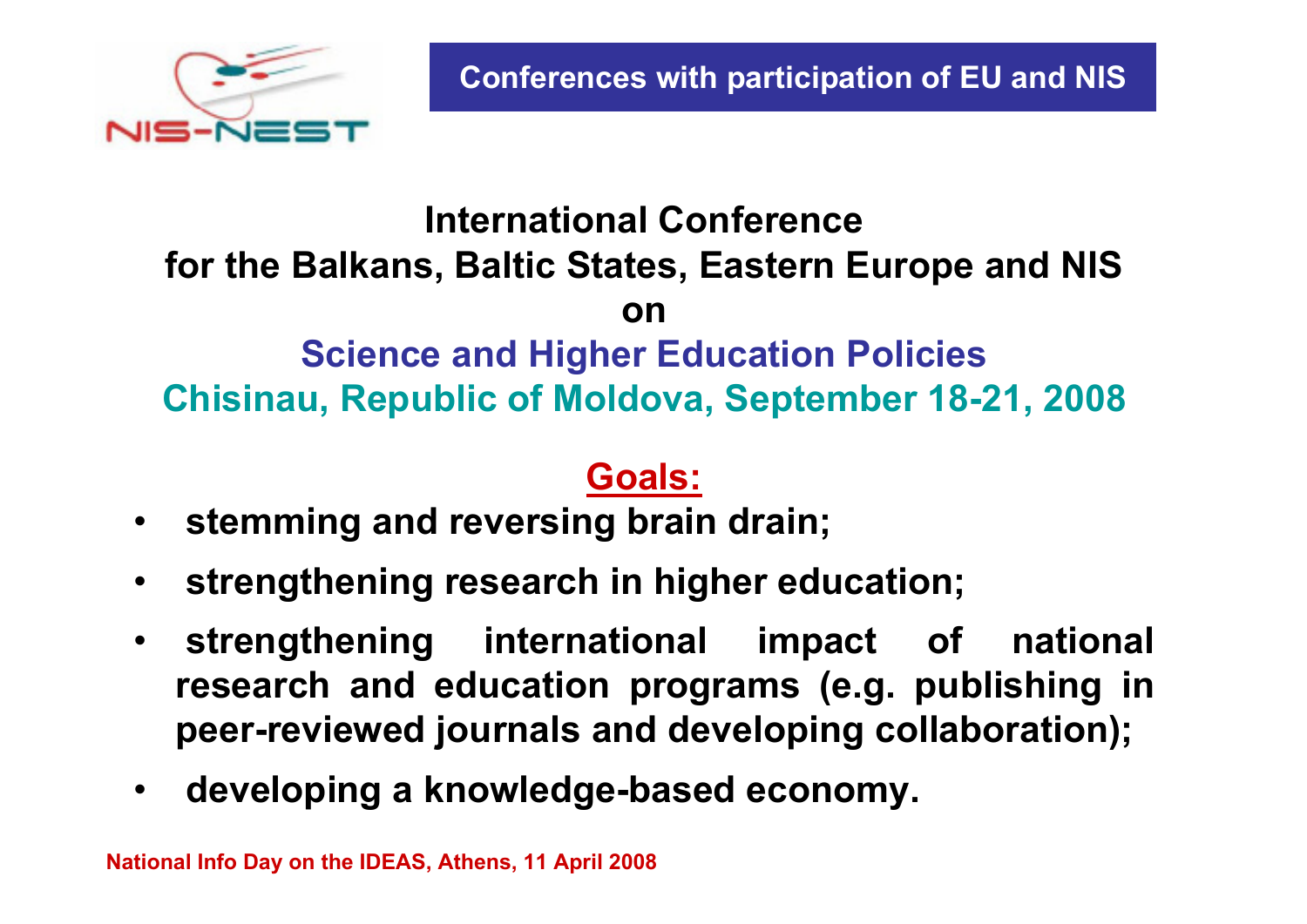

## **International Conference for the Balkans, Baltic States, Eastern Europe and NIS onScience and Higher Education Policies Chisinau, Republic of Moldova, September 18-21, 2008**

## **Goals:**

- •**stemming and reversing brain drain;**
- •**strengthening research in higher education;**
- • **strengthening international impact of national research and education programs (e.g. publishing in peer-reviewed journals and developing collaboration);**
- •**developing a knowledge-based economy.**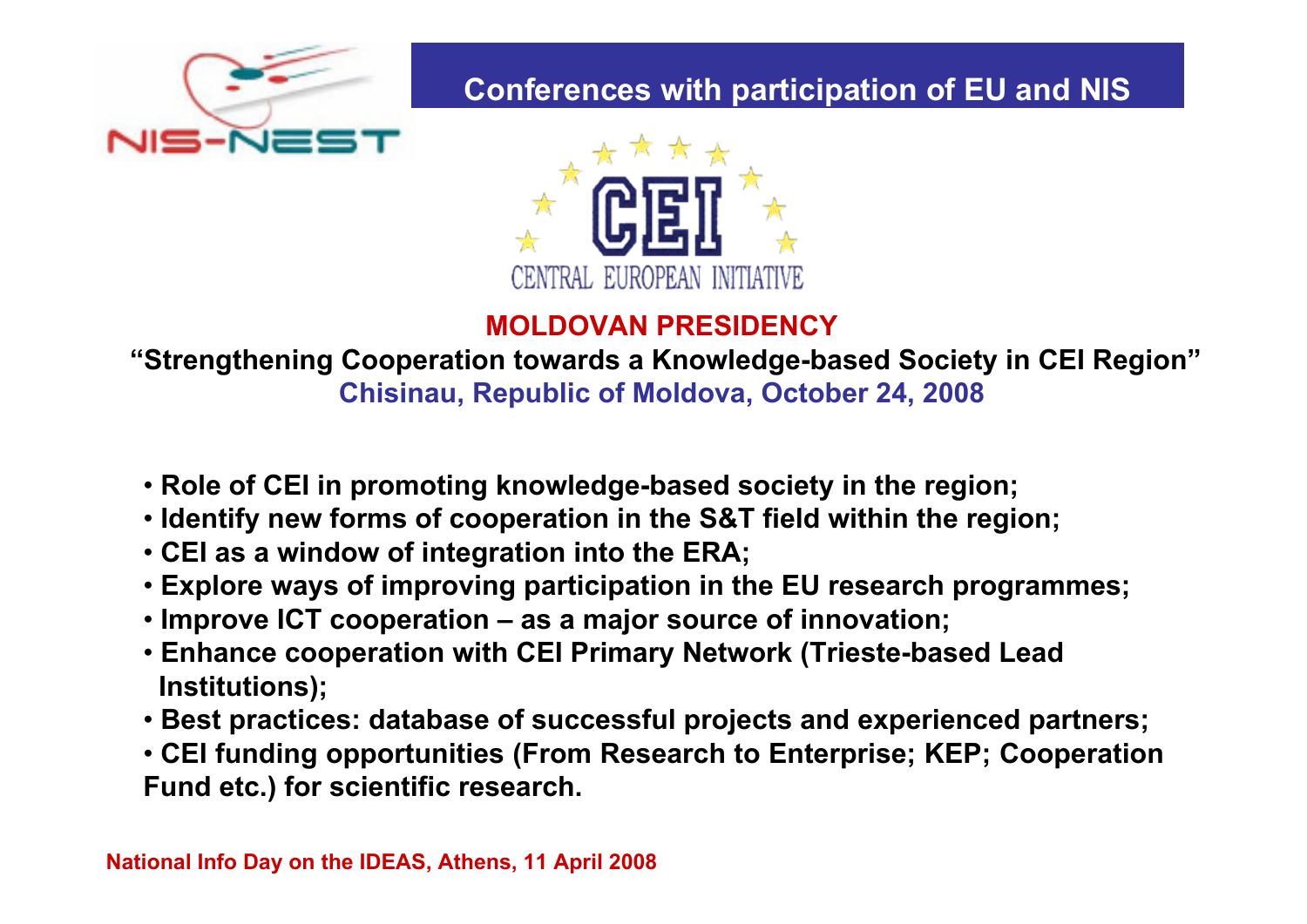

### **Conferences with participation of EU and NIS**



#### **MOLDOVAN PRESIDENCY**

#### **"Strengthening Cooperation towards a Knowledge-based Society in CEI Region" Chisinau, Republic of Moldova, October 24, 2008**

- **Role of CEI in promoting knowledge-based society in the region;**
- **Identify new forms of cooperation in the S&T field within the region;**
- **CEI as a window of integration into the ERA;**
- **Explore ways of improving participation in the EU research programmes;**
- **Improve ICT cooperation – as a major source of innovation;**
- **Enhance cooperation with CEI Primary Network (Trieste-based Lead Institutions);**
- **Best practices: database of successful projects and experienced partners;**
- **CEI funding opportunities (From Research to Enterprise; KEP; Cooperation Fund etc.) for scientific research.**